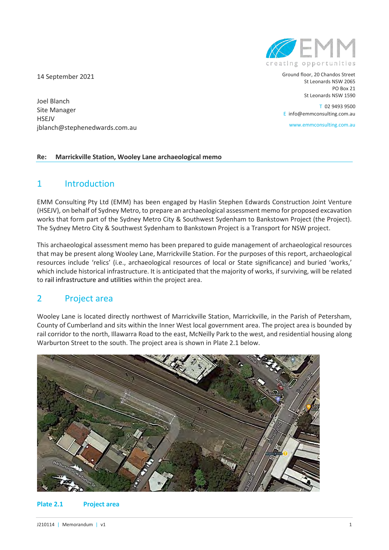14 September 2021

Joel Blanch Site Manager **HSEJV** jblanch@stephenedwards.com.au

#### **Re: Marrickville Station, Wooley Lane archaeological memo**

# 1 Introduction

EMM Consulting Pty Ltd (EMM) has been engaged by Haslin Stephen Edwards Construction Joint Venture (HSEJV), on behalf of Sydney Metro, to prepare an archaeological assessment memo for proposed excavation works that form part of the Sydney Metro City & Southwest Sydenham to Bankstown Project (the Project). The Sydney Metro City & Southwest Sydenham to Bankstown Project is a Transport for NSW project.

This archaeological assessment memo has been prepared to guide management of archaeological resources that may be present along Wooley Lane, Marrickville Station. For the purposes of this report, archaeological resources include 'relics' (i.e., archaeological resources of local or State significance) and buried 'works,' which include historical infrastructure. It is anticipated that the majority of works, if surviving, will be related to rail infrastructure and utilities within the project area.

# 2 Project area

Wooley Lane is located directly northwest of Marrickville Station, Marrickville, in the Parish of Petersham, County of Cumberland and sits within the Inner West local government area. The project area is bounded by rail corridor to the north, Illawarra Road to the east, McNeilly Park to the west, and residential housing along Warburton Street to the south. The project area is shown in Plate 2.1 below.



#### **Plate 2.1 Project area**



Ground floor, 20 Chandos Street St Leonards NSW 2065 PO Box 21 St Leonards NSW 1590

T 02 9493 9500 E info@emmconsulting.com.au

www.emmconsulting.com.au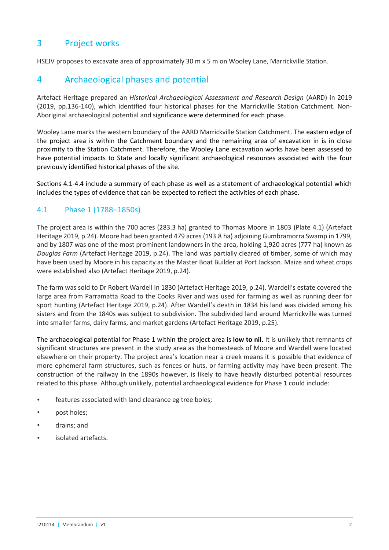# 3 Project works

HSEJV proposes to excavate area of approximately 30 m x 5 m on Wooley Lane, Marrickville Station.

# 4 Archaeological phases and potential

Artefact Heritage prepared an *Historical Archaeological Assessment and Research Design* (AARD) in 2019 (2019, pp.136-140), which identified four historical phases for the Marrickville Station Catchment. Non-Aboriginal archaeological potential and significance were determined for each phase.

Wooley Lane marks the western boundary of the AARD Marrickville Station Catchment. The eastern edge of the project area is within the Catchment boundary and the remaining area of excavation in is in close proximity to the Station Catchment. Therefore, the Wooley Lane excavation works have been assessed to have potential impacts to State and locally significant archaeological resources associated with the four previously identified historical phases of the site.

Sections 4.1-4.4 include a summary of each phase as well as a statement of archaeological potential which includes the types of evidence that can be expected to reflect the activities of each phase.

### 4.1 Phase 1 (1788–1850s)

The project area is within the 700 acres (283.3 ha) granted to Thomas Moore in 1803 (Plate 4.1) (Artefact Heritage 2019, p.24). Moore had been granted 479 acres (193.8 ha) adjoining Gumbramorra Swamp in 1799, and by 1807 was one of the most prominent landowners in the area, holding 1,920 acres (777 ha) known as *Douglas Farm* (Artefact Heritage 2019, p.24). The land was partially cleared of timber, some of which may have been used by Moore in his capacity as the Master Boat Builder at Port Jackson. Maize and wheat crops were established also (Artefact Heritage 2019, p.24).

The farm was sold to Dr Robert Wardell in 1830 (Artefact Heritage 2019, p.24). Wardell's estate covered the large area from Parramatta Road to the Cooks River and was used for farming as well as running deer for sport hunting (Artefact Heritage 2019, p.24). After Wardell's death in 1834 his land was divided among his sisters and from the 1840s was subject to subdivision. The subdivided land around Marrickville was turned into smaller farms, dairy farms, and market gardens (Artefact Heritage 2019, p.25).

The archaeological potential for Phase 1 within the project area is **low to nil**. It is unlikely that remnants of significant structures are present in the study area as the homesteads of Moore and Wardell were located elsewhere on their property. The project area's location near a creek means it is possible that evidence of more ephemeral farm structures, such as fences or huts, or farming activity may have been present. The construction of the railway in the 1890s however, is likely to have heavily disturbed potential resources related to this phase. Although unlikely, potential archaeological evidence for Phase 1 could include:

- features associated with land clearance eg tree boles;
- post holes;
- drains; and
- isolated artefacts.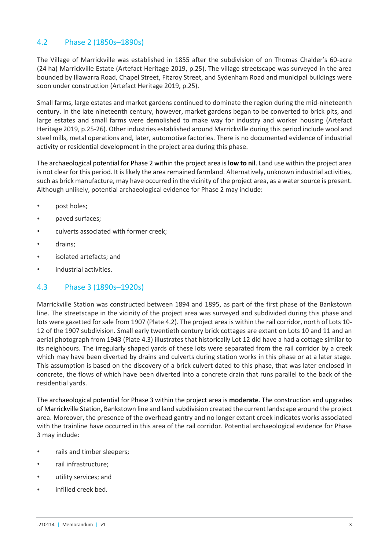## 4.2 Phase 2 (1850s–1890s)

The Village of Marrickville was established in 1855 after the subdivision of on Thomas Chalder's 60-acre (24 ha) Marrickville Estate (Artefact Heritage 2019, p.25). The village streetscape was surveyed in the area bounded by Illawarra Road, Chapel Street, Fitzroy Street, and Sydenham Road and municipal buildings were soon under construction (Artefact Heritage 2019, p.25).

Small farms, large estates and market gardens continued to dominate the region during the mid-nineteenth century. In the late nineteenth century, however, market gardens began to be converted to brick pits, and large estates and small farms were demolished to make way for industry and worker housing (Artefact Heritage 2019, p.25-26). Other industries established around Marrickville during this period include wool and steel mills, metal operations and, later, automotive factories. There is no documented evidence of industrial activity or residential development in the project area during this phase.

The archaeological potential for Phase 2 within the project area is **low to nil**. Land use within the project area is not clear for this period. It is likely the area remained farmland. Alternatively, unknown industrial activities, such as brick manufacture, may have occurred in the vicinity of the project area, as a water source is present. Although unlikely, potential archaeological evidence for Phase 2 may include:

- post holes;
- paved surfaces;
- culverts associated with former creek;
- drains:
- isolated artefacts: and
- industrial activities.

### 4.3 Phase 3 (1890s–1920s)

Marrickville Station was constructed between 1894 and 1895, as part of the first phase of the Bankstown line. The streetscape in the vicinity of the project area was surveyed and subdivided during this phase and lots were gazetted for sale from 1907 (Plate 4.2). The project area is within the rail corridor, north of Lots 10- 12 of the 1907 subdivision. Small early twentieth century brick cottages are extant on Lots 10 and 11 and an aerial photograph from 1943 (Plate 4.3) illustrates that historically Lot 12 did have a had a cottage similar to its neighbours. The irregularly shaped yards of these lots were separated from the rail corridor by a creek which may have been diverted by drains and culverts during station works in this phase or at a later stage. This assumption is based on the discovery of a brick culvert dated to this phase, that was later enclosed in concrete, the flows of which have been diverted into a concrete drain that runs parallel to the back of the residential yards.

The archaeological potential for Phase 3 within the project area is **moderate**. The construction and upgrades of Marrickville Station, Bankstown line and land subdivision created the current landscape around the project area. Moreover, the presence of the overhead gantry and no longer extant creek indicates works associated with the trainline have occurred in this area of the rail corridor. Potential archaeological evidence for Phase 3 may include:

- rails and timber sleepers;
- rail infrastructure;
- utility services; and
- infilled creek bed.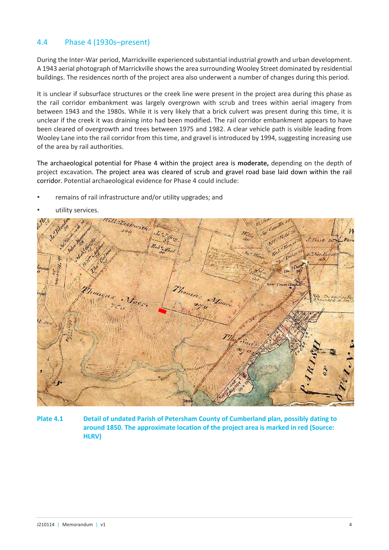## 4.4 Phase 4 (1930s–present)

During the Inter-War period, Marrickville experienced substantial industrial growth and urban development. A 1943 aerial photograph of Marrickville shows the area surrounding Wooley Street dominated by residential buildings. The residences north of the project area also underwent a number of changes during this period.

It is unclear if subsurface structures or the creek line were present in the project area during this phase as the rail corridor embankment was largely overgrown with scrub and trees within aerial imagery from between 1943 and the 1980s. While it is very likely that a brick culvert was present during this time, it is unclear if the creek it was draining into had been modified. The rail corridor embankment appears to have been cleared of overgrowth and trees between 1975 and 1982. A clear vehicle path is visible leading from Wooley Lane into the rail corridor from this time, and gravel is introduced by 1994, suggesting increasing use of the area by rail authorities.

The archaeological potential for Phase 4 within the project area is **moderate,** depending on the depth of project excavation. The project area was cleared of scrub and gravel road base laid down within the rail corridor. Potential archaeological evidence for Phase 4 could include:

• remains of rail infrastructure and/or utility upgrades; and



utility services.

**Plate 4.1 Detail of undated Parish of Petersham County of Cumberland plan, possibly dating to around 1850. The approximate location of the project area is marked in red (Source: HLRV)**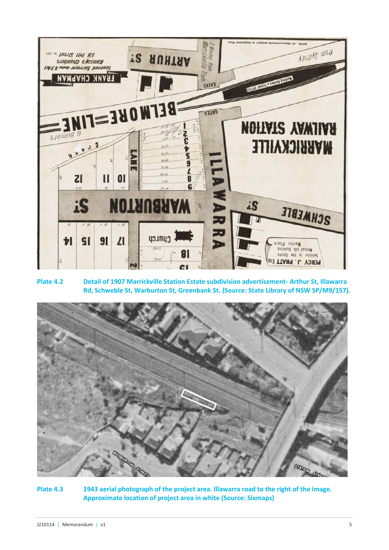

**Plate 4.2 Detail of 1907 Marrickville Station Estate subdivision advertisement- Arthur St, Illawarra Rd, Schweble St, Warburton St, Greenbank St. (Source: State Library of NSW SP/M9/157).**



**Plate 4.3 1943 aerial photograph of the project area. Illawarra road to the right of the image. Approximate location of project area in white (Source: Sixmaps)**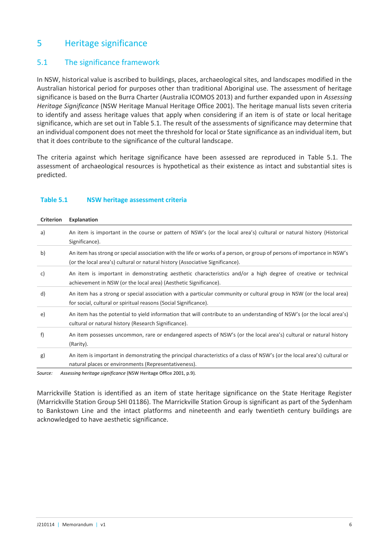# 5 Heritage significance

## 5.1 The significance framework

In NSW, historical value is ascribed to buildings, places, archaeological sites, and landscapes modified in the Australian historical period for purposes other than traditional Aboriginal use. The assessment of heritage significance is based on the Burra Charter (Australia ICOMOS 2013) and further expanded upon in *Assessing Heritage Significance* (NSW Heritage Manual Heritage Office 2001). The heritage manual lists seven criteria to identify and assess heritage values that apply when considering if an item is of state or local heritage significance, which are set out in Table 5.1. The result of the assessments of significance may determine that an individual component does not meet the threshold for local or State significance as an individual item, but that it does contribute to the significance of the cultural landscape.

The criteria against which heritage significance have been assessed are reproduced in Table 5.1. The assessment of archaeological resources is hypothetical as their existence as intact and substantial sites is predicted.

| <b>Criterion</b> | <b>Explanation</b>                                                                                                                                                                                        |
|------------------|-----------------------------------------------------------------------------------------------------------------------------------------------------------------------------------------------------------|
| a)               | An item is important in the course or pattern of NSW's (or the local area's) cultural or natural history (Historical<br>Significance).                                                                    |
| b)               | An item has strong or special association with the life or works of a person, or group of persons of importance in NSW's<br>(or the local area's) cultural or natural history (Associative Significance). |
| c)               | An item is important in demonstrating aesthetic characteristics and/or a high degree of creative or technical<br>achievement in NSW (or the local area) (Aesthetic Significance).                         |
| d)               | An item has a strong or special association with a particular community or cultural group in NSW (or the local area)<br>for social, cultural or spiritual reasons (Social Significance).                  |
| e)               | An item has the potential to yield information that will contribute to an understanding of NSW's (or the local area's)<br>cultural or natural history (Research Significance).                            |
| f)               | An item possesses uncommon, rare or endangered aspects of NSW's (or the local area's) cultural or natural history<br>(Rarity).                                                                            |
| g)               | An item is important in demonstrating the principal characteristics of a class of NSW's (or the local area's) cultural or<br>natural places or environments (Representativeness).                         |
| Source:          | Assessing heritage significance (NSW Heritage Office 2001, p.9).                                                                                                                                          |

#### **Table 5.1 NSW heritage assessment criteria**

Marrickville Station is identified as an item of state heritage significance on the State Heritage Register (Marrickville Station Group SHI 01186). The Marrickville Station Group is significant as part of the Sydenham to Bankstown Line and the intact platforms and nineteenth and early twentieth century buildings are acknowledged to have aesthetic significance.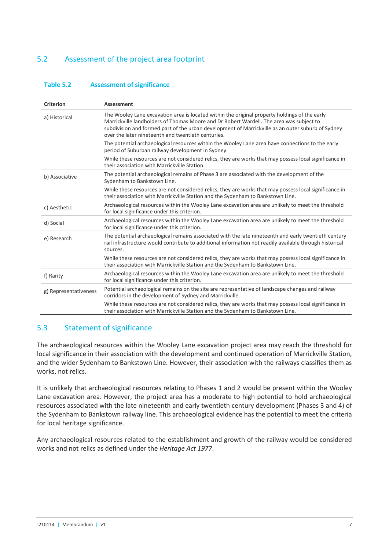# 5.2 Assessment of the project area footprint

#### **Table 5.2 Assessment of significance**

| The Wooley Lane excavation area is located within the original property holdings of the early<br>a) Historical<br>Marrickville landholders of Thomas Moore and Dr Robert Wardell. The area was subject to<br>subdivision and formed part of the urban development of Marrickville as an outer suburb of Sydney<br>over the later nineteenth and twentieth centuries.<br>The potential archaeological resources within the Wooley Lane area have connections to the early<br>period of Suburban railway development in Sydney.<br>While these resources are not considered relics, they are works that may possess local significance in<br>their association with Marrickville Station.<br>The potential archaeological remains of Phase 3 are associated with the development of the<br>b) Associative<br>Sydenham to Bankstown Line.<br>While these resources are not considered relics, they are works that may possess local significance in<br>their association with Marrickville Station and the Sydenham to Bankstown Line.<br>Archaeological resources within the Wooley Lane excavation area are unlikely to meet the threshold<br>c) Aesthetic<br>for local significance under this criterion.<br>Archaeological resources within the Wooley Lane excavation area are unlikely to meet the threshold<br>d) Social<br>for local significance under this criterion.<br>The potential archaeological remains associated with the late nineteenth and early twentieth century<br>e) Research<br>rail infrastructure would contribute to additional information not readily available through historical<br>sources.<br>While these resources are not considered relics, they are works that may possess local significance in | <b>Criterion</b> | <b>Assessment</b>                                                               |
|--------------------------------------------------------------------------------------------------------------------------------------------------------------------------------------------------------------------------------------------------------------------------------------------------------------------------------------------------------------------------------------------------------------------------------------------------------------------------------------------------------------------------------------------------------------------------------------------------------------------------------------------------------------------------------------------------------------------------------------------------------------------------------------------------------------------------------------------------------------------------------------------------------------------------------------------------------------------------------------------------------------------------------------------------------------------------------------------------------------------------------------------------------------------------------------------------------------------------------------------------------------------------------------------------------------------------------------------------------------------------------------------------------------------------------------------------------------------------------------------------------------------------------------------------------------------------------------------------------------------------------------------------------------------------------------------------------------------------------------|------------------|---------------------------------------------------------------------------------|
|                                                                                                                                                                                                                                                                                                                                                                                                                                                                                                                                                                                                                                                                                                                                                                                                                                                                                                                                                                                                                                                                                                                                                                                                                                                                                                                                                                                                                                                                                                                                                                                                                                                                                                                                      |                  |                                                                                 |
|                                                                                                                                                                                                                                                                                                                                                                                                                                                                                                                                                                                                                                                                                                                                                                                                                                                                                                                                                                                                                                                                                                                                                                                                                                                                                                                                                                                                                                                                                                                                                                                                                                                                                                                                      |                  |                                                                                 |
|                                                                                                                                                                                                                                                                                                                                                                                                                                                                                                                                                                                                                                                                                                                                                                                                                                                                                                                                                                                                                                                                                                                                                                                                                                                                                                                                                                                                                                                                                                                                                                                                                                                                                                                                      |                  |                                                                                 |
|                                                                                                                                                                                                                                                                                                                                                                                                                                                                                                                                                                                                                                                                                                                                                                                                                                                                                                                                                                                                                                                                                                                                                                                                                                                                                                                                                                                                                                                                                                                                                                                                                                                                                                                                      |                  |                                                                                 |
|                                                                                                                                                                                                                                                                                                                                                                                                                                                                                                                                                                                                                                                                                                                                                                                                                                                                                                                                                                                                                                                                                                                                                                                                                                                                                                                                                                                                                                                                                                                                                                                                                                                                                                                                      |                  |                                                                                 |
|                                                                                                                                                                                                                                                                                                                                                                                                                                                                                                                                                                                                                                                                                                                                                                                                                                                                                                                                                                                                                                                                                                                                                                                                                                                                                                                                                                                                                                                                                                                                                                                                                                                                                                                                      |                  |                                                                                 |
|                                                                                                                                                                                                                                                                                                                                                                                                                                                                                                                                                                                                                                                                                                                                                                                                                                                                                                                                                                                                                                                                                                                                                                                                                                                                                                                                                                                                                                                                                                                                                                                                                                                                                                                                      |                  |                                                                                 |
|                                                                                                                                                                                                                                                                                                                                                                                                                                                                                                                                                                                                                                                                                                                                                                                                                                                                                                                                                                                                                                                                                                                                                                                                                                                                                                                                                                                                                                                                                                                                                                                                                                                                                                                                      |                  |                                                                                 |
|                                                                                                                                                                                                                                                                                                                                                                                                                                                                                                                                                                                                                                                                                                                                                                                                                                                                                                                                                                                                                                                                                                                                                                                                                                                                                                                                                                                                                                                                                                                                                                                                                                                                                                                                      |                  | their association with Marrickville Station and the Sydenham to Bankstown Line. |
| Archaeological resources within the Wooley Lane excavation area are unlikely to meet the threshold<br>f) Rarity<br>for local significance under this criterion.                                                                                                                                                                                                                                                                                                                                                                                                                                                                                                                                                                                                                                                                                                                                                                                                                                                                                                                                                                                                                                                                                                                                                                                                                                                                                                                                                                                                                                                                                                                                                                      |                  |                                                                                 |
| Potential archaeological remains on the site are representative of landscape changes and railway<br>g) Representativeness<br>corridors in the development of Sydney and Marrickville.                                                                                                                                                                                                                                                                                                                                                                                                                                                                                                                                                                                                                                                                                                                                                                                                                                                                                                                                                                                                                                                                                                                                                                                                                                                                                                                                                                                                                                                                                                                                                |                  |                                                                                 |
| While these resources are not considered relics, they are works that may possess local significance in<br>their association with Marrickville Station and the Sydenham to Bankstown Line.                                                                                                                                                                                                                                                                                                                                                                                                                                                                                                                                                                                                                                                                                                                                                                                                                                                                                                                                                                                                                                                                                                                                                                                                                                                                                                                                                                                                                                                                                                                                            |                  |                                                                                 |

## 5.3 Statement of significance

The archaeological resources within the Wooley Lane excavation project area may reach the threshold for local significance in their association with the development and continued operation of Marrickville Station, and the wider Sydenham to Bankstown Line. However, their association with the railways classifies them as works, not relics.

It is unlikely that archaeological resources relating to Phases 1 and 2 would be present within the Wooley Lane excavation area. However, the project area has a moderate to high potential to hold archaeological resources associated with the late nineteenth and early twentieth century development (Phases 3 and 4) of the Sydenham to Bankstown railway line. This archaeological evidence has the potential to meet the criteria for local heritage significance.

Any archaeological resources related to the establishment and growth of the railway would be considered works and not relics as defined under the *Heritage Act 1977*.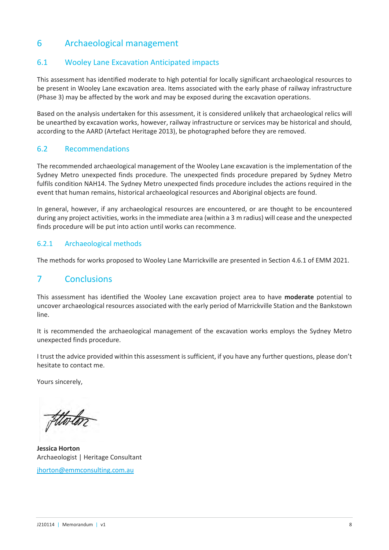# 6 Archaeological management

### 6.1 Wooley Lane Excavation Anticipated impacts

This assessment has identified moderate to high potential for locally significant archaeological resources to be present in Wooley Lane excavation area. Items associated with the early phase of railway infrastructure (Phase 3) may be affected by the work and may be exposed during the excavation operations.

Based on the analysis undertaken for this assessment, it is considered unlikely that archaeological relics will be unearthed by excavation works, however, railway infrastructure or services may be historical and should, according to the AARD (Artefact Heritage 2013), be photographed before they are removed.

#### 6.2 Recommendations

The recommended archaeological management of the Wooley Lane excavation is the implementation of the Sydney Metro unexpected finds procedure. The unexpected finds procedure prepared by Sydney Metro fulfils condition NAH14. The Sydney Metro unexpected finds procedure includes the actions required in the event that human remains, historical archaeological resources and Aboriginal objects are found.

In general, however, if any archaeological resources are encountered, or are thought to be encountered during any project activities, works in the immediate area (within a 3 m radius) will cease and the unexpected finds procedure will be put into action until works can recommence.

#### 6.2.1 Archaeological methods

The methods for works proposed to Wooley Lane Marrickville are presented in Section 4.6.1 of EMM 2021.

## 7 Conclusions

This assessment has identified the Wooley Lane excavation project area to have **moderate** potential to uncover archaeological resources associated with the early period of Marrickville Station and the Bankstown line.

It is recommended the archaeological management of the excavation works employs the Sydney Metro unexpected finds procedure.

I trust the advice provided within this assessment is sufficient, if you have any further questions, please don't hesitate to contact me.

Yours sincerely,

**Jessica Horton**  Archaeologist | Heritage Consultant

[jhorton@emmconsulting.com.au](mailto:jhorton@emmconsulting.com.au)